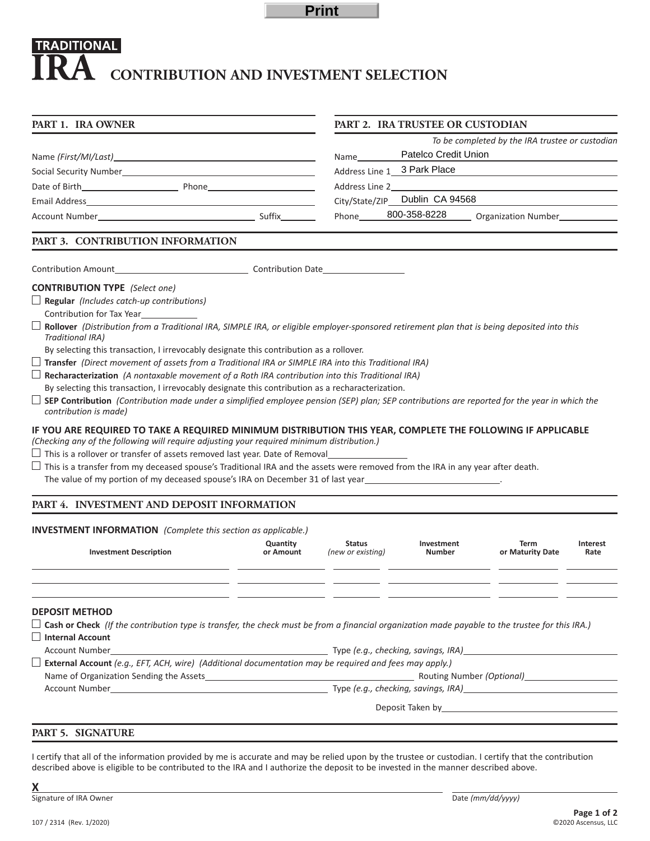**Print**

# **TRADITIONAL CONTRIBUTION AND INVESTMENT SELECTION**

| PART 1. IRA OWNER                                                                                                                                                                                                                                                                                                                                                                                                                                                                                                                                                                                                                                                                                                                                                                                                                                                                                                                                                                                                                                                                                                                                                                                                                                                                                                                                           |                                                                                                                | PART 2. IRA TRUSTEE OR CUSTODIAN   |                      |                                                 |                                  |  |  |  |  |  |  |
|-------------------------------------------------------------------------------------------------------------------------------------------------------------------------------------------------------------------------------------------------------------------------------------------------------------------------------------------------------------------------------------------------------------------------------------------------------------------------------------------------------------------------------------------------------------------------------------------------------------------------------------------------------------------------------------------------------------------------------------------------------------------------------------------------------------------------------------------------------------------------------------------------------------------------------------------------------------------------------------------------------------------------------------------------------------------------------------------------------------------------------------------------------------------------------------------------------------------------------------------------------------------------------------------------------------------------------------------------------------|----------------------------------------------------------------------------------------------------------------|------------------------------------|----------------------|-------------------------------------------------|----------------------------------|--|--|--|--|--|--|
|                                                                                                                                                                                                                                                                                                                                                                                                                                                                                                                                                                                                                                                                                                                                                                                                                                                                                                                                                                                                                                                                                                                                                                                                                                                                                                                                                             |                                                                                                                |                                    |                      | To be completed by the IRA trustee or custodian |                                  |  |  |  |  |  |  |
|                                                                                                                                                                                                                                                                                                                                                                                                                                                                                                                                                                                                                                                                                                                                                                                                                                                                                                                                                                                                                                                                                                                                                                                                                                                                                                                                                             | Address Line 1 and 200 million and 200 million and 200 million and 200 million and 200 million and 200 million |                                    |                      |                                                 |                                  |  |  |  |  |  |  |
|                                                                                                                                                                                                                                                                                                                                                                                                                                                                                                                                                                                                                                                                                                                                                                                                                                                                                                                                                                                                                                                                                                                                                                                                                                                                                                                                                             |                                                                                                                |                                    |                      |                                                 |                                  |  |  |  |  |  |  |
|                                                                                                                                                                                                                                                                                                                                                                                                                                                                                                                                                                                                                                                                                                                                                                                                                                                                                                                                                                                                                                                                                                                                                                                                                                                                                                                                                             |                                                                                                                |                                    |                      |                                                 |                                  |  |  |  |  |  |  |
|                                                                                                                                                                                                                                                                                                                                                                                                                                                                                                                                                                                                                                                                                                                                                                                                                                                                                                                                                                                                                                                                                                                                                                                                                                                                                                                                                             |                                                                                                                |                                    |                      |                                                 | PART 3. CONTRIBUTION INFORMATION |  |  |  |  |  |  |
|                                                                                                                                                                                                                                                                                                                                                                                                                                                                                                                                                                                                                                                                                                                                                                                                                                                                                                                                                                                                                                                                                                                                                                                                                                                                                                                                                             |                                                                                                                |                                    |                      |                                                 |                                  |  |  |  |  |  |  |
| <b>CONTRIBUTION TYPE</b> (Select one)<br>$\Box$ Regular (Includes catch-up contributions)<br>Contribution for Tax Year<br>Rollover (Distribution from a Traditional IRA, SIMPLE IRA, or eligible employer-sponsored retirement plan that is being deposited into this<br>Traditional IRA)<br>By selecting this transaction, I irrevocably designate this contribution as a rollover.<br>Transfer (Direct movement of assets from a Traditional IRA or SIMPLE IRA into this Traditional IRA)<br>$\Box$ Recharacterization (A nontaxable movement of a Roth IRA contribution into this Traditional IRA)<br>By selecting this transaction, I irrevocably designate this contribution as a recharacterization.<br>SEP Contribution (Contribution made under a simplified employee pension (SEP) plan; SEP contributions are reported for the year in which the<br>contribution is made)<br>IF YOU ARE REQUIRED TO TAKE A REQUIRED MINIMUM DISTRIBUTION THIS YEAR, COMPLETE THE FOLLOWING IF APPLICABLE<br>(Checking any of the following will require adjusting your required minimum distribution.)<br>$\Box$ This is a transfer from my deceased spouse's Traditional IRA and the assets were removed from the IRA in any year after death.<br>The value of my portion of my deceased spouse's IRA on December 31 of last year_______________________________ |                                                                                                                |                                    |                      |                                                 |                                  |  |  |  |  |  |  |
| PART 4. INVESTMENT AND DEPOSIT INFORMATION                                                                                                                                                                                                                                                                                                                                                                                                                                                                                                                                                                                                                                                                                                                                                                                                                                                                                                                                                                                                                                                                                                                                                                                                                                                                                                                  |                                                                                                                |                                    |                      |                                                 |                                  |  |  |  |  |  |  |
| <b>INVESTMENT INFORMATION</b> (Complete this section as applicable.)                                                                                                                                                                                                                                                                                                                                                                                                                                                                                                                                                                                                                                                                                                                                                                                                                                                                                                                                                                                                                                                                                                                                                                                                                                                                                        |                                                                                                                |                                    |                      |                                                 |                                  |  |  |  |  |  |  |
| <b>Investment Description</b>                                                                                                                                                                                                                                                                                                                                                                                                                                                                                                                                                                                                                                                                                                                                                                                                                                                                                                                                                                                                                                                                                                                                                                                                                                                                                                                               | Quantity<br>or Amount                                                                                          | <b>Status</b><br>(new or existing) | Investment<br>Number | Term<br>or Maturity Date                        | Interest<br>Rate                 |  |  |  |  |  |  |
|                                                                                                                                                                                                                                                                                                                                                                                                                                                                                                                                                                                                                                                                                                                                                                                                                                                                                                                                                                                                                                                                                                                                                                                                                                                                                                                                                             |                                                                                                                |                                    |                      |                                                 |                                  |  |  |  |  |  |  |
|                                                                                                                                                                                                                                                                                                                                                                                                                                                                                                                                                                                                                                                                                                                                                                                                                                                                                                                                                                                                                                                                                                                                                                                                                                                                                                                                                             |                                                                                                                |                                    |                      |                                                 |                                  |  |  |  |  |  |  |
| <b>DEPOSIT METHOD</b>                                                                                                                                                                                                                                                                                                                                                                                                                                                                                                                                                                                                                                                                                                                                                                                                                                                                                                                                                                                                                                                                                                                                                                                                                                                                                                                                       |                                                                                                                |                                    |                      |                                                 |                                  |  |  |  |  |  |  |
|                                                                                                                                                                                                                                                                                                                                                                                                                                                                                                                                                                                                                                                                                                                                                                                                                                                                                                                                                                                                                                                                                                                                                                                                                                                                                                                                                             |                                                                                                                |                                    |                      |                                                 |                                  |  |  |  |  |  |  |

**Cash or Check** *(If the contribution type is transfer, the check must be from a financial organization made payable to the trustee for this IRA.)* **Internal Account**

| Account Number                                                                                                | Type (e.g., checking, savings, IRA) |  |  |  |
|---------------------------------------------------------------------------------------------------------------|-------------------------------------|--|--|--|
| <b>External Account</b> (e.g., EFT, ACH, wire) (Additional documentation may be required and fees may apply.) |                                     |  |  |  |
| Name of Organization Sending the Assets                                                                       | Routing Number (Optional)           |  |  |  |
| <b>Account Number</b>                                                                                         | Type (e.g., checking, savings, IRA) |  |  |  |
|                                                                                                               |                                     |  |  |  |

Deposit Taken by\_

## **PART 5. SIGNATURE**

I certify that all of the information provided by me is accurate and may be relied upon by the trustee or custodian. I certify that the contribution described above is eligible to be contributed to the IRA and I authorize the deposit to be invested in the manner described above.

**X**

Signature of IRA Owner Date (mm/dd/yyyy) and Date (mm/dd/yyyy) and Date (mm/dd/yyyy) and Date (mm/dd/yyyy) and Date (mm/dd/yyyy) and Date (mm/dd/yyyy) and Date (mm/dd/yyyy) and Date (mm/dd/yyyy) and Date (mm/dd/yyyy) and D